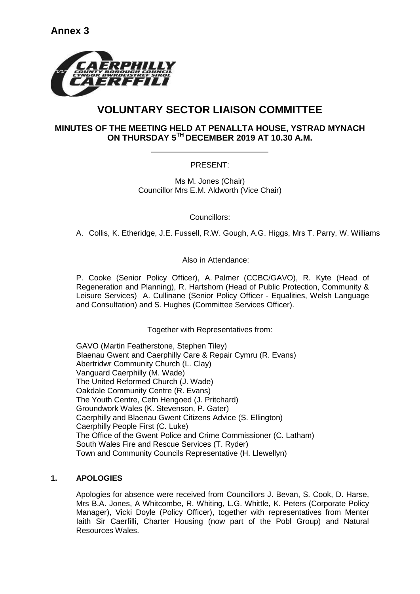

# **VOLUNTARY SECTOR LIAISON COMMITTEE**

## **MINUTES OF THE MEETING HELD AT PENALLTA HOUSE, YSTRAD MYNACH ON THURSDAY 5TH DECEMBER 2019 AT 10.30 A.M.**

## PRESENT:

Ms M. Jones (Chair) Councillor Mrs E.M. Aldworth (Vice Chair)

Councillors:

A. Collis, K. Etheridge, J.E. Fussell, R.W. Gough, A.G. Higgs, Mrs T. Parry, W. Williams

### Also in Attendance:

P. Cooke (Senior Policy Officer), A. Palmer (CCBC/GAVO), R. Kyte (Head of Regeneration and Planning), R. Hartshorn (Head of Public Protection, Community & Leisure Services) A. Cullinane (Senior Policy Officer - Equalities, Welsh Language and Consultation) and S. Hughes (Committee Services Officer).

#### Together with Representatives from:

GAVO (Martin Featherstone, Stephen Tiley) Blaenau Gwent and Caerphilly Care & Repair Cymru (R. Evans) Abertridwr Community Church (L. Clay) Vanguard Caerphilly (M. Wade) The United Reformed Church (J. Wade) Oakdale Community Centre (R. Evans) The Youth Centre, Cefn Hengoed (J. Pritchard) Groundwork Wales (K. Stevenson, P. Gater) Caerphilly and Blaenau Gwent Citizens Advice (S. Ellington) Caerphilly People First (C. Luke) The Office of the Gwent Police and Crime Commissioner (C. Latham) South Wales Fire and Rescue Services (T. Ryder) Town and Community Councils Representative (H. Llewellyn)

## **1. APOLOGIES**

Apologies for absence were received from Councillors J. Bevan, S. Cook, D. Harse, Mrs B.A. Jones, A Whitcombe, R. Whiting, L.G. Whittle, K. Peters (Corporate Policy Manager), Vicki Doyle (Policy Officer), together with representatives from Menter Iaith Sir Caerfilli, Charter Housing (now part of the Pobl Group) and Natural Resources Wales.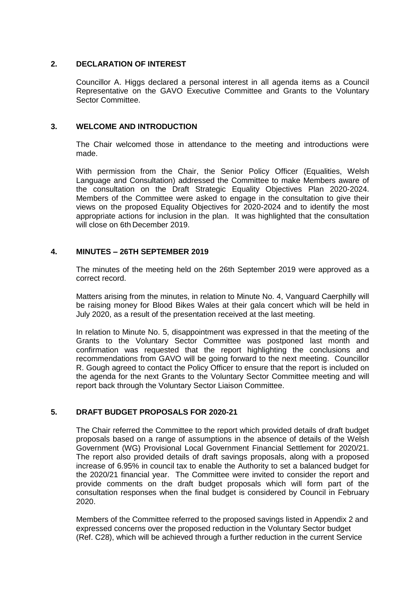#### **2. DECLARATION OF INTEREST**

Councillor A. Higgs declared a personal interest in all agenda items as a Council Representative on the GAVO Executive Committee and Grants to the Voluntary Sector Committee.

#### **3. WELCOME AND INTRODUCTION**

The Chair welcomed those in attendance to the meeting and introductions were made.

With permission from the Chair, the Senior Policy Officer (Equalities, Welsh Language and Consultation) addressed the Committee to make Members aware of the consultation on the Draft Strategic Equality Objectives Plan 2020-2024. Members of the Committee were asked to engage in the consultation to give their views on the proposed Equality Objectives for 2020-2024 and to identify the most appropriate actions for inclusion in the plan. It was highlighted that the consultation will close on 6th December 2019.

#### **4. MINUTES – 26TH SEPTEMBER 2019**

The minutes of the meeting held on the 26th September 2019 were approved as a correct record.

Matters arising from the minutes, in relation to Minute No. 4, Vanguard Caerphilly will be raising money for Blood Bikes Wales at their gala concert which will be held in July 2020, as a result of the presentation received at the last meeting.

In relation to Minute No. 5, disappointment was expressed in that the meeting of the Grants to the Voluntary Sector Committee was postponed last month and confirmation was requested that the report highlighting the conclusions and recommendations from GAVO will be going forward to the next meeting. Councillor R. Gough agreed to contact the Policy Officer to ensure that the report is included on the agenda for the next Grants to the Voluntary Sector Committee meeting and will report back through the Voluntary Sector Liaison Committee.

#### **5. DRAFT BUDGET PROPOSALS FOR 2020-21**

The Chair referred the Committee to the report which provided details of draft budget proposals based on a range of assumptions in the absence of details of the Welsh Government (WG) Provisional Local Government Financial Settlement for 2020/21. The report also provided details of draft savings proposals, along with a proposed increase of 6.95% in council tax to enable the Authority to set a balanced budget for the 2020/21 financial year. The Committee were invited to consider the report and provide comments on the draft budget proposals which will form part of the consultation responses when the final budget is considered by Council in February 2020.

Members of the Committee referred to the proposed savings listed in Appendix 2 and expressed concerns over the proposed reduction in the Voluntary Sector budget (Ref. C28), which will be achieved through a further reduction in the current Service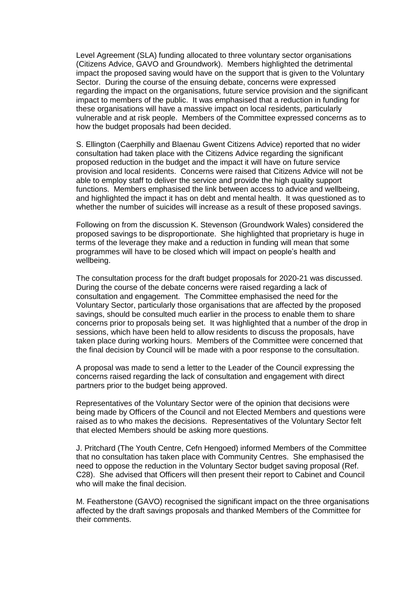Level Agreement (SLA) funding allocated to three voluntary sector organisations (Citizens Advice, GAVO and Groundwork). Members highlighted the detrimental impact the proposed saving would have on the support that is given to the Voluntary Sector. During the course of the ensuing debate, concerns were expressed regarding the impact on the organisations, future service provision and the significant impact to members of the public. It was emphasised that a reduction in funding for these organisations will have a massive impact on local residents, particularly vulnerable and at risk people. Members of the Committee expressed concerns as to how the budget proposals had been decided.

S. Ellington (Caerphilly and Blaenau Gwent Citizens Advice) reported that no wider consultation had taken place with the Citizens Advice regarding the significant proposed reduction in the budget and the impact it will have on future service provision and local residents. Concerns were raised that Citizens Advice will not be able to employ staff to deliver the service and provide the high quality support functions. Members emphasised the link between access to advice and wellbeing, and highlighted the impact it has on debt and mental health. It was questioned as to whether the number of suicides will increase as a result of these proposed savings.

Following on from the discussion K. Stevenson (Groundwork Wales) considered the proposed savings to be disproportionate. She highlighted that proprietary is huge in terms of the leverage they make and a reduction in funding will mean that some programmes will have to be closed which will impact on people's health and wellbeing.

The consultation process for the draft budget proposals for 2020-21 was discussed. During the course of the debate concerns were raised regarding a lack of consultation and engagement. The Committee emphasised the need for the Voluntary Sector, particularly those organisations that are affected by the proposed savings, should be consulted much earlier in the process to enable them to share concerns prior to proposals being set. It was highlighted that a number of the drop in sessions, which have been held to allow residents to discuss the proposals, have taken place during working hours. Members of the Committee were concerned that the final decision by Council will be made with a poor response to the consultation.

A proposal was made to send a letter to the Leader of the Council expressing the concerns raised regarding the lack of consultation and engagement with direct partners prior to the budget being approved.

Representatives of the Voluntary Sector were of the opinion that decisions were being made by Officers of the Council and not Elected Members and questions were raised as to who makes the decisions. Representatives of the Voluntary Sector felt that elected Members should be asking more questions.

J. Pritchard (The Youth Centre, Cefn Hengoed) informed Members of the Committee that no consultation has taken place with Community Centres. She emphasised the need to oppose the reduction in the Voluntary Sector budget saving proposal (Ref. C28). She advised that Officers will then present their report to Cabinet and Council who will make the final decision.

M. Featherstone (GAVO) recognised the significant impact on the three organisations affected by the draft savings proposals and thanked Members of the Committee for their comments.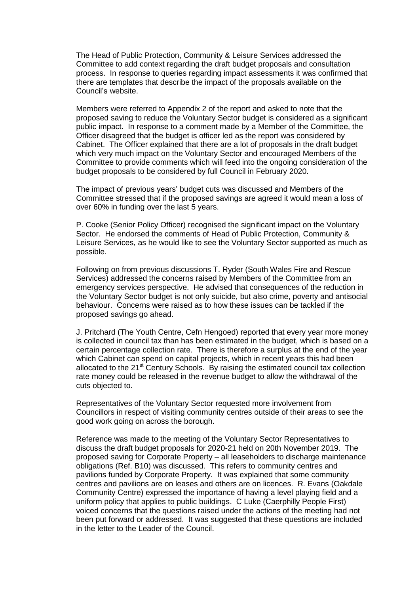The Head of Public Protection, Community & Leisure Services addressed the Committee to add context regarding the draft budget proposals and consultation process. In response to queries regarding impact assessments it was confirmed that there are templates that describe the impact of the proposals available on the Council's website.

Members were referred to Appendix 2 of the report and asked to note that the proposed saving to reduce the Voluntary Sector budget is considered as a significant public impact. In response to a comment made by a Member of the Committee, the Officer disagreed that the budget is officer led as the report was considered by Cabinet. The Officer explained that there are a lot of proposals in the draft budget which very much impact on the Voluntary Sector and encouraged Members of the Committee to provide comments which will feed into the ongoing consideration of the budget proposals to be considered by full Council in February 2020.

The impact of previous years' budget cuts was discussed and Members of the Committee stressed that if the proposed savings are agreed it would mean a loss of over 60% in funding over the last 5 years.

P. Cooke (Senior Policy Officer) recognised the significant impact on the Voluntary Sector. He endorsed the comments of Head of Public Protection, Community & Leisure Services, as he would like to see the Voluntary Sector supported as much as possible.

Following on from previous discussions T. Ryder (South Wales Fire and Rescue Services) addressed the concerns raised by Members of the Committee from an emergency services perspective. He advised that consequences of the reduction in the Voluntary Sector budget is not only suicide, but also crime, poverty and antisocial behaviour. Concerns were raised as to how these issues can be tackled if the proposed savings go ahead.

J. Pritchard (The Youth Centre, Cefn Hengoed) reported that every year more money is collected in council tax than has been estimated in the budget, which is based on a certain percentage collection rate. There is therefore a surplus at the end of the year which Cabinet can spend on capital projects, which in recent years this had been allocated to the 21<sup>st</sup> Century Schools. By raising the estimated council tax collection rate money could be released in the revenue budget to allow the withdrawal of the cuts objected to.

Representatives of the Voluntary Sector requested more involvement from Councillors in respect of visiting community centres outside of their areas to see the good work going on across the borough.

Reference was made to the meeting of the Voluntary Sector Representatives to discuss the draft budget proposals for 2020-21 held on 20th November 2019. The proposed saving for Corporate Property – all leaseholders to discharge maintenance obligations (Ref. B10) was discussed. This refers to community centres and pavilions funded by Corporate Property. It was explained that some community centres and pavilions are on leases and others are on licences. R. Evans (Oakdale Community Centre) expressed the importance of having a level playing field and a uniform policy that applies to public buildings. C Luke (Caerphilly People First) voiced concerns that the questions raised under the actions of the meeting had not been put forward or addressed. It was suggested that these questions are included in the letter to the Leader of the Council.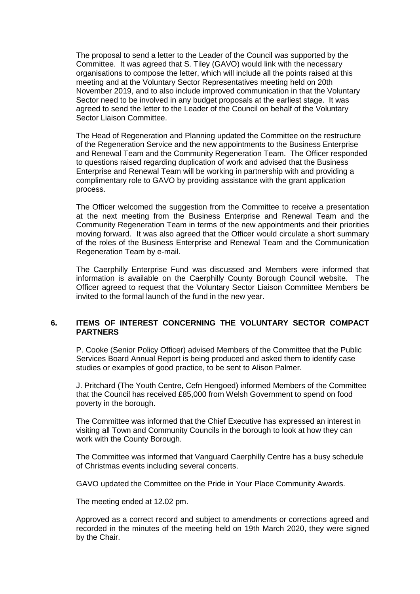The proposal to send a letter to the Leader of the Council was supported by the Committee. It was agreed that S. Tiley (GAVO) would link with the necessary organisations to compose the letter, which will include all the points raised at this meeting and at the Voluntary Sector Representatives meeting held on 20th November 2019, and to also include improved communication in that the Voluntary Sector need to be involved in any budget proposals at the earliest stage. It was agreed to send the letter to the Leader of the Council on behalf of the Voluntary Sector Liaison Committee.

The Head of Regeneration and Planning updated the Committee on the restructure of the Regeneration Service and the new appointments to the Business Enterprise and Renewal Team and the Community Regeneration Team. The Officer responded to questions raised regarding duplication of work and advised that the Business Enterprise and Renewal Team will be working in partnership with and providing a complimentary role to GAVO by providing assistance with the grant application process.

The Officer welcomed the suggestion from the Committee to receive a presentation at the next meeting from the Business Enterprise and Renewal Team and the Community Regeneration Team in terms of the new appointments and their priorities moving forward. It was also agreed that the Officer would circulate a short summary of the roles of the Business Enterprise and Renewal Team and the Communication Regeneration Team by e-mail.

The Caerphilly Enterprise Fund was discussed and Members were informed that information is available on the Caerphilly County Borough Council website. The Officer agreed to request that the Voluntary Sector Liaison Committee Members be invited to the formal launch of the fund in the new year.

#### **6. ITEMS OF INTEREST CONCERNING THE VOLUNTARY SECTOR COMPACT PARTNERS**

P. Cooke (Senior Policy Officer) advised Members of the Committee that the Public Services Board Annual Report is being produced and asked them to identify case studies or examples of good practice, to be sent to Alison Palmer.

J. Pritchard (The Youth Centre, Cefn Hengoed) informed Members of the Committee that the Council has received £85,000 from Welsh Government to spend on food poverty in the borough.

The Committee was informed that the Chief Executive has expressed an interest in visiting all Town and Community Councils in the borough to look at how they can work with the County Borough.

The Committee was informed that Vanguard Caerphilly Centre has a busy schedule of Christmas events including several concerts.

GAVO updated the Committee on the Pride in Your Place Community Awards.

The meeting ended at 12.02 pm.

Approved as a correct record and subject to amendments or corrections agreed and recorded in the minutes of the meeting held on 19th March 2020, they were signed by the Chair.